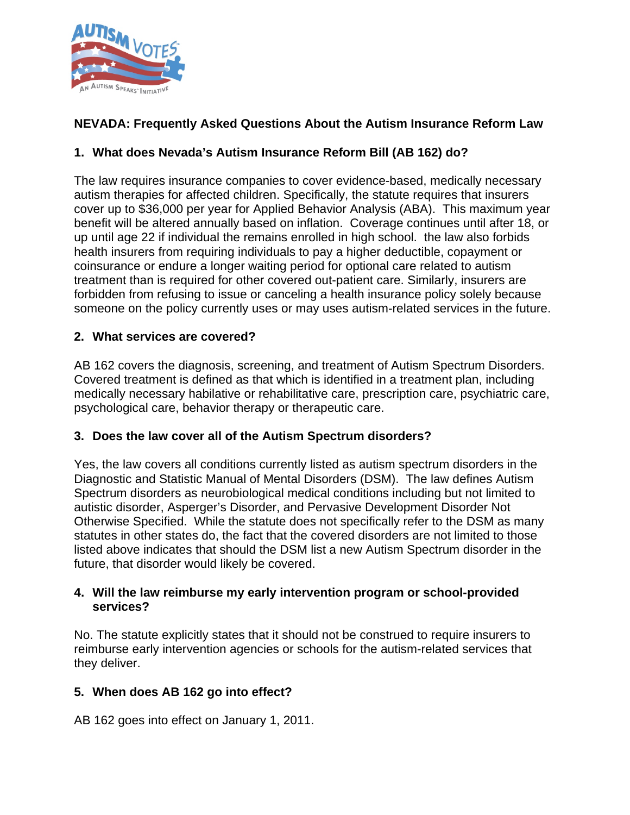

# **NEVADA: Frequently Asked Questions About the Autism Insurance Reform Law**

# **1. What does Nevada's Autism Insurance Reform Bill (AB 162) do?**

The law requires insurance companies to cover evidence-based, medically necessary autism therapies for affected children. Specifically, the statute requires that insurers cover up to \$36,000 per year for Applied Behavior Analysis (ABA). This maximum year benefit will be altered annually based on inflation. Coverage continues until after 18, or up until age 22 if individual the remains enrolled in high school. the law also forbids health insurers from requiring individuals to pay a higher deductible, copayment or coinsurance or endure a longer waiting period for optional care related to autism treatment than is required for other covered out-patient care. Similarly, insurers are forbidden from refusing to issue or canceling a health insurance policy solely because someone on the policy currently uses or may uses autism-related services in the future.

### **2. What services are covered?**

AB 162 covers the diagnosis, screening, and treatment of Autism Spectrum Disorders. Covered treatment is defined as that which is identified in a treatment plan, including medically necessary habilative or rehabilitative care, prescription care, psychiatric care, psychological care, behavior therapy or therapeutic care.

#### **3. Does the law cover all of the Autism Spectrum disorders?**

Yes, the law covers all conditions currently listed as autism spectrum disorders in the Diagnostic and Statistic Manual of Mental Disorders (DSM). The law defines Autism Spectrum disorders as neurobiological medical conditions including but not limited to autistic disorder, Asperger's Disorder, and Pervasive Development Disorder Not Otherwise Specified. While the statute does not specifically refer to the DSM as many statutes in other states do, the fact that the covered disorders are not limited to those listed above indicates that should the DSM list a new Autism Spectrum disorder in the future, that disorder would likely be covered.

#### **4. Will the law reimburse my early intervention program or school-provided services?**

No. The statute explicitly states that it should not be construed to require insurers to reimburse early intervention agencies or schools for the autism-related services that they deliver.

# **5. When does AB 162 go into effect?**

AB 162 goes into effect on January 1, 2011.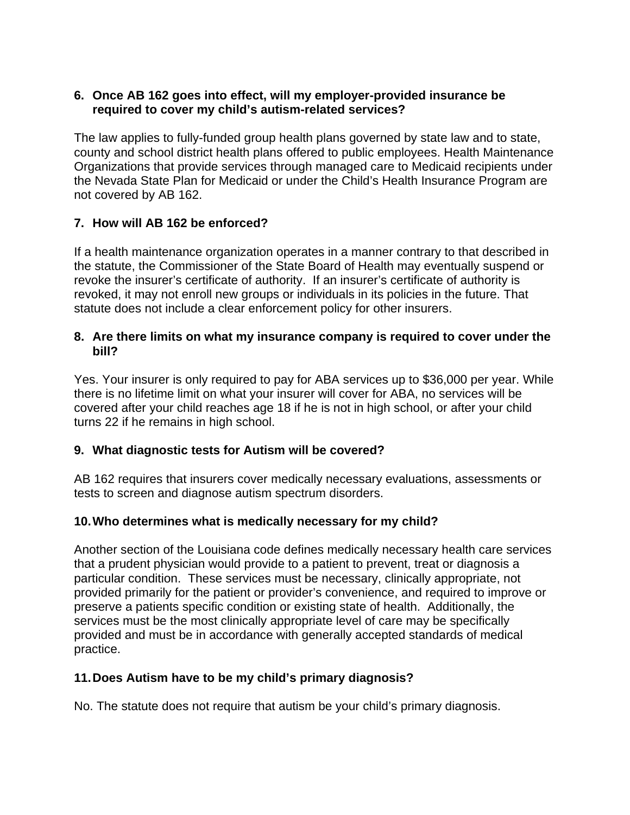### **6. Once AB 162 goes into effect, will my employer-provided insurance be required to cover my child's autism-related services?**

The law applies to fully-funded group health plans governed by state law and to state, county and school district health plans offered to public employees. Health Maintenance Organizations that provide services through managed care to Medicaid recipients under the Nevada State Plan for Medicaid or under the Child's Health Insurance Program are not covered by AB 162.

# **7. How will AB 162 be enforced?**

If a health maintenance organization operates in a manner contrary to that described in the statute, the Commissioner of the State Board of Health may eventually suspend or revoke the insurer's certificate of authority. If an insurer's certificate of authority is revoked, it may not enroll new groups or individuals in its policies in the future. That statute does not include a clear enforcement policy for other insurers.

#### **8. Are there limits on what my insurance company is required to cover under the bill?**

Yes. Your insurer is only required to pay for ABA services up to \$36,000 per year. While there is no lifetime limit on what your insurer will cover for ABA, no services will be covered after your child reaches age 18 if he is not in high school, or after your child turns 22 if he remains in high school.

# **9. What diagnostic tests for Autism will be covered?**

AB 162 requires that insurers cover medically necessary evaluations, assessments or tests to screen and diagnose autism spectrum disorders.

# **10. Who determines what is medically necessary for my child?**

Another section of the Louisiana code defines medically necessary health care services that a prudent physician would provide to a patient to prevent, treat or diagnosis a particular condition. These services must be necessary, clinically appropriate, not provided primarily for the patient or provider's convenience, and required to improve or preserve a patients specific condition or existing state of health. Additionally, the services must be the most clinically appropriate level of care may be specifically provided and must be in accordance with generally accepted standards of medical practice.

# **11. Does Autism have to be my child's primary diagnosis?**

No. The statute does not require that autism be your child's primary diagnosis.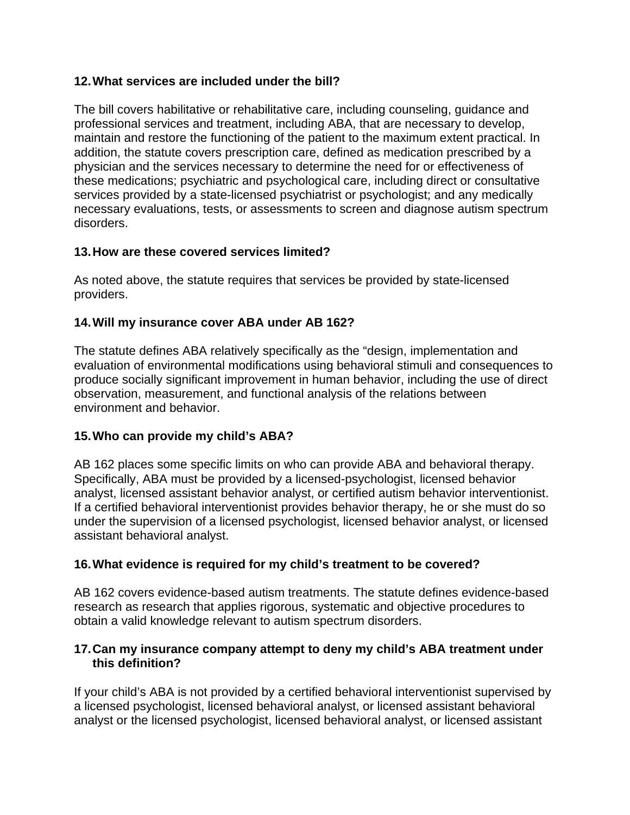# **12. What services are included under the bill?**

The bill covers habilitative or rehabilitative care, including counseling, guidance and professional services and treatment, including ABA, that are necessary to develop, maintain and restore the functioning of the patient to the maximum extent practical. In addition, the statute covers prescription care, defined as medication prescribed by a physician and the services necessary to determine the need for or effectiveness of these medications; psychiatric and psychological care, including direct or consultative services provided by a state-licensed psychiatrist or psychologist; and any medically necessary evaluations, tests, or assessments to screen and diagnose autism spectrum disorders.

### **13. How are these covered services limited?**

As noted above, the statute requires that services be provided by state-licensed providers.

# **14. Will my insurance cover ABA under AB 162?**

The statute defines ABA relatively specifically as the "design, implementation and evaluation of environmental modifications using behavioral stimuli and consequences to produce socially significant improvement in human behavior, including the use of direct observation, measurement, and functional analysis of the relations between environment and behavior.

# **15. Who can provide my child's ABA?**

AB 162 places some specific limits on who can provide ABA and behavioral therapy. Specifically, ABA must be provided by a licensed-psychologist, licensed behavior analyst, licensed assistant behavior analyst, or certified autism behavior interventionist. If a certified behavioral interventionist provides behavior therapy, he or she must do so under the supervision of a licensed psychologist, licensed behavior analyst, or licensed assistant behavioral analyst.

# **16. What evidence is required for my child's treatment to be covered?**

AB 162 covers evidence-based autism treatments. The statute defines evidence-based research as research that applies rigorous, systematic and objective procedures to obtain a valid knowledge relevant to autism spectrum disorders.

#### **17. Can my insurance company attempt to deny my child's ABA treatment under this definition?**

If your child's ABA is not provided by a certified behavioral interventionist supervised by a licensed psychologist, licensed behavioral analyst, or licensed assistant behavioral analyst or the licensed psychologist, licensed behavioral analyst, or licensed assistant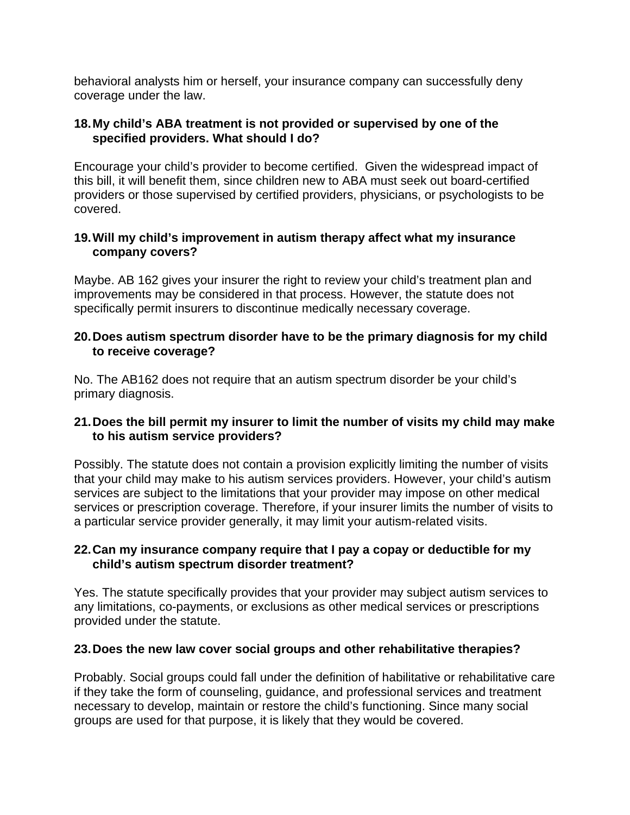behavioral analysts him or herself, your insurance company can successfully deny coverage under the law.

#### **18. My child's ABA treatment is not provided or supervised by one of the specified providers. What should I do?**

Encourage your child's provider to become certified. Given the widespread impact of this bill, it will benefit them, since children new to ABA must seek out board-certified providers or those supervised by certified providers, physicians, or psychologists to be covered.

#### **19. Will my child's improvement in autism therapy affect what my insurance company covers?**

Maybe. AB 162 gives your insurer the right to review your child's treatment plan and improvements may be considered in that process. However, the statute does not specifically permit insurers to discontinue medically necessary coverage.

#### **20. Does autism spectrum disorder have to be the primary diagnosis for my child to receive coverage?**

No. The AB162 does not require that an autism spectrum disorder be your child's primary diagnosis.

### **21. Does the bill permit my insurer to limit the number of visits my child may make to his autism service providers?**

Possibly. The statute does not contain a provision explicitly limiting the number of visits that your child may make to his autism services providers. However, your child's autism services are subject to the limitations that your provider may impose on other medical services or prescription coverage. Therefore, if your insurer limits the number of visits to a particular service provider generally, it may limit your autism-related visits.

### **22. Can my insurance company require that I pay a copay or deductible for my child's autism spectrum disorder treatment?**

Yes. The statute specifically provides that your provider may subject autism services to any limitations, co-payments, or exclusions as other medical services or prescriptions provided under the statute.

# **23. Does the new law cover social groups and other rehabilitative therapies?**

Probably. Social groups could fall under the definition of habilitative or rehabilitative care if they take the form of counseling, guidance, and professional services and treatment necessary to develop, maintain or restore the child's functioning. Since many social groups are used for that purpose, it is likely that they would be covered.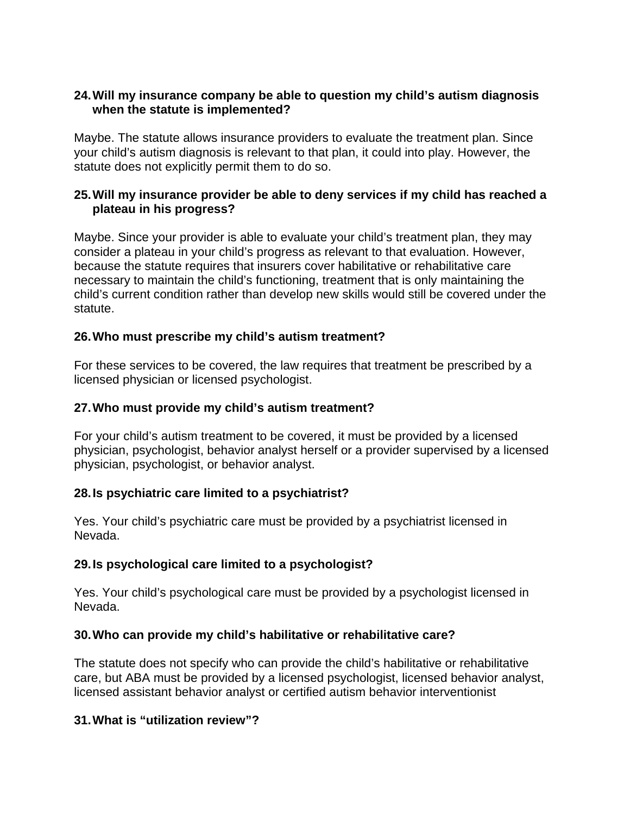### **24. Will my insurance company be able to question my child's autism diagnosis when the statute is implemented?**

Maybe. The statute allows insurance providers to evaluate the treatment plan. Since your child's autism diagnosis is relevant to that plan, it could into play. However, the statute does not explicitly permit them to do so.

### **25. Will my insurance provider be able to deny services if my child has reached a plateau in his progress?**

Maybe. Since your provider is able to evaluate your child's treatment plan, they may consider a plateau in your child's progress as relevant to that evaluation. However, because the statute requires that insurers cover habilitative or rehabilitative care necessary to maintain the child's functioning, treatment that is only maintaining the child's current condition rather than develop new skills would still be covered under the statute.

# **26. Who must prescribe my child's autism treatment?**

For these services to be covered, the law requires that treatment be prescribed by a licensed physician or licensed psychologist.

### **27. Who must provide my child's autism treatment?**

For your child's autism treatment to be covered, it must be provided by a licensed physician, psychologist, behavior analyst herself or a provider supervised by a licensed physician, psychologist, or behavior analyst.

# **28. Is psychiatric care limited to a psychiatrist?**

Yes. Your child's psychiatric care must be provided by a psychiatrist licensed in Nevada.

# **29. Is psychological care limited to a psychologist?**

Yes. Your child's psychological care must be provided by a psychologist licensed in Nevada.

# **30. Who can provide my child's habilitative or rehabilitative care?**

The statute does not specify who can provide the child's habilitative or rehabilitative care, but ABA must be provided by a licensed psychologist, licensed behavior analyst, licensed assistant behavior analyst or certified autism behavior interventionist

# **31. What is "utilization review"?**